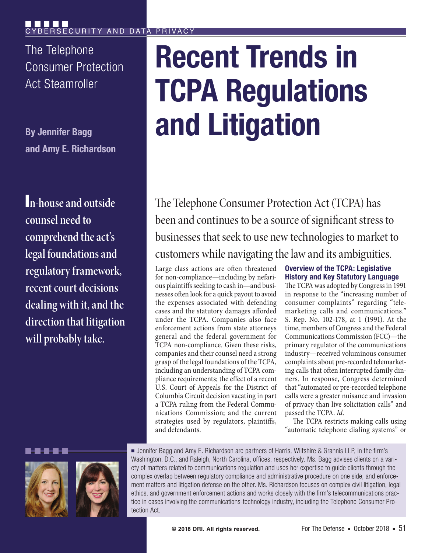The Telephone Consumer Protection Act Steamroller

**By Jennifer Bagg and Amy E. Richardson**

I**n-house and outside counsel need to comprehend the act's legal foundations and regulatory framework, recent court decisions dealing with it, and the direction that litigation will probably take.**

# **Recent Trends in TCPA Regulations and Litigation**

The Telephone Consumer Protection Act (TCPA) has been and continues to be a source of significant stress to businesses that seek to use new technologies to market to customers while navigating the law and its ambiguities.

Large class actions are often threatened for non-compliance—including by nefarious plaintiffs seeking to cash in—and businesses often look for a quick payout to avoid the expenses associated with defending cases and the statutory damages afforded under the TCPA. Companies also face enforcement actions from state attorneys general and the federal government for TCPA non-compliance. Given these risks, companies and their counsel need a strong grasp of the legal foundations of the TCPA, including an understanding of TCPA compliance requirements; the effect of a recent U.S. Court of Appeals for the District of Columbia Circuit decision vacating in part a TCPA ruling from the Federal Communications Commission; and the current strategies used by regulators, plaintiffs, and defendants.

**Overview of the TCPA: Legislative History and Key Statutory Language**

The TCPA was adopted by Congress in 1991 in response to the "increasing number of consumer complaints" regarding "telemarketing calls and communications." S. Rep. No. 102-178, at 1 (1991). At the time, members of Congress and the Federal Communications Commission (FCC)—the primary regulator of the communications industry—received voluminous consumer complaints about pre-recorded telemarketing calls that often interrupted family dinners. In response, Congress determined that "automated or pre-recorded telephone calls were a greater nuisance and invasion of privacy than live solicitation calls" and passed the TCPA. *Id.*

The TCPA restricts making calls using "automatic telephone dialing systems" or





■ Jennifer Bagg and Amy E. Richardson are partners of Harris, Wiltshire & Grannis LLP, in the firm's Washington, D.C., and Raleigh, North Carolina, offices, respectively. Ms. Bagg advises clients on a variety of matters related to communications regulation and uses her expertise to guide clients through the complex overlap between regulatory compliance and administrative procedure on one side, and enforcement matters and litigation defense on the other. Ms. Richardson focuses on complex civil litigation, legal ethics, and government enforcement actions and works closely with the firm's telecommunications practice in cases involving the communications-technology industry, including the Telephone Consumer Protection Act.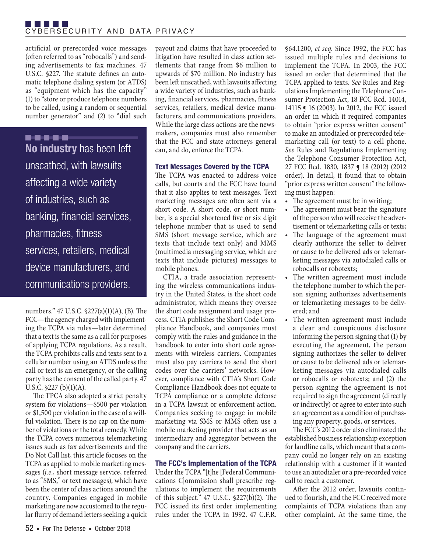artificial or prerecorded voice messages (often referred to as "robocalls") and sending advertisements to fax machines. 47 U.S.C. §227. The statute defines an automatic telephone dialing system (or ATDS) as "equipment which has the capacity" (1) to "store or produce telephone numbers to be called, using a random or sequential number generator" and (2) to "dial such

# .....

**No industry** has been left unscathed, with lawsuits affecting a wide variety of industries, such as banking, financial services, pharmacies, fitness services, retailers, medical device manufacturers, and communications providers.

numbers." 47 U.S.C. §227(a)(1)(A), (B). The FCC—the agency charged with implementing the TCPA via rules—later determined that a text is the same as a call for purposes of applying TCPA regulations. As a result, the TCPA prohibits calls and texts sent to a cellular number using an ATDS unless the call or text is an emergency, or the calling party has the consent of the called party. 47 U.S.C. §227 (b)(1)(A).

The TPCA also adopted a strict penalty system for violations—\$500 per violation or \$1,500 per violation in the case of a willful violation. There is no cap on the number of violations or the total remedy. While the TCPA covers numerous telemarketing issues such as fax advertisements and the Do Not Call list, this article focuses on the TCPA as applied to mobile marketing messages (*i.e.*, short message service, referred to as "SMS," or text messages), which have been the center of class actions around the country. Companies engaged in mobile marketing are now accustomed to the regular flurry of demand letters seeking a quick

payout and claims that have proceeded to litigation have resulted in class action settlements that range from \$6 million to upwards of \$70 million. No industry has been left unscathed, with lawsuits affecting a wide variety of industries, such as banking, financial services, pharmacies, fitness services, retailers, medical device manufacturers, and communications providers. While the large class actions are the newsmakers, companies must also remember that the FCC and state attorneys general can, and do, enforce the TCPA.

# **Text Messages Covered by the TCPA**

The TCPA was enacted to address voice calls, but courts and the FCC have found that it also applies to text messages. Text marketing messages are often sent via a short code. A short code, or short number, is a special shortened five or six digit telephone number that is used to send SMS (short message service, which are texts that include text only) and MMS (multimedia messaging service, which are texts that include pictures) messages to mobile phones.

CTIA, a trade association representing the wireless communications industry in the United States, is the short code administrator, which means they oversee the short code assignment and usage process. CTIA publishes the Short Code Compliance Handbook, and companies must comply with the rules and guidance in the handbook to enter into short code agreements with wireless carriers. Companies must also pay carriers to send the short codes over the carriers' networks. However, compliance with CTIA's Short Code Compliance Handbook does not equate to TCPA compliance or a complete defense in a TCPA lawsuit or enforcement action. Companies seeking to engage in mobile marketing via SMS or MMS often use a mobile marketing provider that acts as an intermediary and aggregator between the company and the carriers.

# **The FCC's Implementation of the TCPA**

Under the TCPA "[t]he [Federal Communications C]ommission shall prescribe regulations to implement the requirements of this subject."  $47$  U.S.C.  $$227(b)(2)$ . The FCC issued its first order implementing rules under the TCPA in 1992. 47 C.F.R.

§64.1200, *et seq.* Since 1992, the FCC has issued multiple rules and decisions to implement the TCPA. In 2003, the FCC issued an order that determined that the TCPA applied to texts. *See* Rules and Regulations Implementing the Telephone Consumer Protection Act, 18 FCC Rcd. 14014, 14115 ¶ 16 (2003). In 2012, the FCC issued an order in which it required companies to obtain "prior express written consent" to make an autodialed or prerecorded telemarketing call (or text) to a cell phone. *See* Rules and Regulations Implementing the Telephone Consumer Protection Act, 27 FCC Rcd. 1830, 1837 ¶ 18 (2012) (2012 order). In detail, it found that to obtain "prior express written consent" the following must happen:

- The agreement must be in writing;
- The agreement must bear the signature of the person who will receive the advertisement or telemarketing calls or texts;
- The language of the agreement must clearly authorize the seller to deliver or cause to be delivered ads or telemarketing messages via autodialed calls or robocalls or robotexts;
- The written agreement must include the telephone number to which the person signing authorizes advertisements or telemarketing messages to be delivered; and
- The written agreement must include a clear and conspicuous disclosure informing the person signing that (1) by executing the agreement, the person signing authorizes the seller to deliver or cause to be delivered ads or telemarketing messages via autodialed calls or robocalls or robotexts; and (2) the person signing the agreement is not required to sign the agreement (directly or indirectly) or agree to enter into such an agreement as a condition of purchasing any property, goods, or services.

The FCC's 2012 order also eliminated the established business relationship exception for landline calls, which meant that a company could no longer rely on an existing relationship with a customer if it wanted to use an autodialer or a pre-recorded voice call to reach a customer.

After the 2012 order, lawsuits continued to flourish, and the FCC received more complaints of TCPA violations than any other complaint. At the same time, the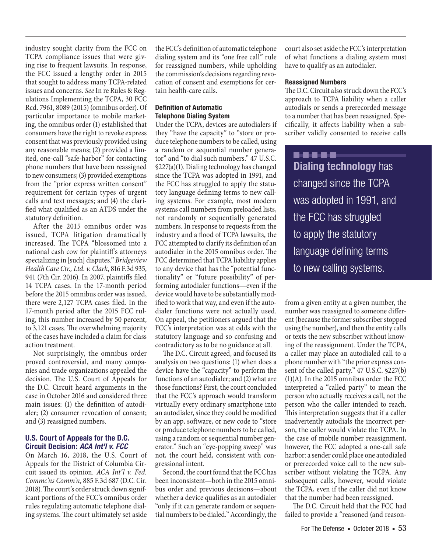industry sought clarity from the FCC on TCPA compliance issues that were giving rise to frequent lawsuits. In response, the FCC issued a lengthy order in 2015 that sought to address many TCPA-related issues and concerns. *See* In re Rules & Regulations Implementing the TCPA, 30 FCC Rcd. 7961, 8089 (2015) (omnibus order). Of particular importance to mobile marketing, the omnibus order (1) established that consumers have the right to revoke express consent that was previously provided using any reasonable means; (2) provided a limited, one-call "safe-harbor" for contacting phone numbers that have been reassigned to new consumers; (3) provided exemptions from the "prior express written consent" requirement for certain types of urgent calls and text messages; and (4) the clarified what qualified as an ATDS under the statutory definition.

After the 2015 omnibus order was issued, TCPA litigation dramatically increased. The TCPA "blossomed into a national cash cow for plaintiff's attorneys specializing in [such] disputes." *Bridgeview Health Care Ctr., Ltd. v. Clark*, 816 F.3d 935, 941 (7th Cir. 2016). In 2007, plaintiffs filed 14 TCPA cases. In the 17-month period before the 2015 omnibus order was issued, there were 2,127 TCPA cases filed. In the 17-month period after the 2015 FCC ruling, this number increased by 50 percent, to 3,121 cases. The overwhelming majority of the cases have included a claim for class action treatment.

Not surprisingly, the omnibus order proved controversial, and many companies and trade organizations appealed the decision. The U.S. Court of Appeals for the D.C. Circuit heard arguments in the case in October 2016 and considered three main issues: (1) the definition of autodialer; (2) consumer revocation of consent; and (3) reassigned numbers.

## **U.S. Court of Appeals for the D.C. Circuit Decision:** *ACA Int'l v. FCC*

On March 16, 2018, the U.S. Court of Appeals for the District of Columbia Circuit issued its opinion. *ACA Int'l v. Fed. Commc'ns Comm'n*, 885 F.3d 687 (D.C. Cir. 2018). The court's order struck down significant portions of the FCC's omnibus order rules regulating automatic telephone dialing systems. The court ultimately set aside

the FCC's definition of automatic telephone dialing system and its "one free call" rule for reassigned numbers, while upholding the commission's decisions regarding revocation of consent and exemptions for certain health-care calls.

# **Definition of Automatic Telephone Dialing System**

Under the TCPA, devices are autodialers if they "have the capacity" to "store or produce telephone numbers to be called, using a random or sequential number generator" and "to dial such numbers." 47 U.S.C. §227(a)(1). Dialing technology has changed since the TCPA was adopted in 1991, and the FCC has struggled to apply the statutory language defining terms to new calling systems. For example, most modern systems call numbers from preloaded lists, not randomly or sequentially generated numbers. In response to requests from the industry and a flood of TCPA lawsuits, the FCC attempted to clarify its definition of an autodialer in the 2015 omnibus order. The FCC determined that TCPA liability applies to any device that has the "potential functionality" or "future possibility" of performing autodialer functions—even if the device would have to be substantially modified to work that way, and even if the autodialer functions were not actually used. On appeal, the petitioners argued that the FCC's interpretation was at odds with the statutory language and so confusing and contradictory as to be no guidance at all.

The D.C. Circuit agreed, and focused its analysis on two questions: (1) when does a device have the "capacity" to perform the functions of an autodialer; and (2) what are those functions? First, the court concluded that the FCC's approach would transform virtually every ordinary smartphone into an autodialer, since they could be modified by an app, software, or new code to "store or produce telephone numbers to be called, using a random or sequential number generator." Such an "eye-popping sweep" was not, the court held, consistent with congressional intent.

Second, the court found that the FCC has been inconsistent—both in the 2015 omnibus order and previous decisions—about whether a device qualifies as an autodialer "only if it can generate random or sequential numbers to be dialed." Accordingly, the

court also set aside the FCC's interpretation of what functions a dialing system must have to qualify as an autodialer.

### **Reassigned Numbers**

The D.C. Circuit also struck down the FCC's approach to TCPA liability when a caller autodials or sends a prerecorded message to a number that has been reassigned. Specifically, it affects liability when a subscriber validly consented to receive calls

..... **Dialing technology** has changed since the TCPA was adopted in 1991, and the FCC has struggled to apply the statutory language defining terms to new calling systems.

from a given entity at a given number, the number was reassigned to someone different (because the former subscriber stopped using the number), and then the entity calls or texts the new subscriber without knowing of the reassignment. Under the TCPA, a caller may place an autodialed call to a phone number with "the prior express consent of the called party." 47 U.S.C. §227(b) (1)(A). In the 2015 omnibus order the FCC interpreted a "called party" to mean the person who actually receives a call, not the person who the caller intended to reach. This interpretation suggests that if a caller inadvertently autodials the incorrect person, the caller would violate the TCPA. In the case of mobile number reassignment, however, the FCC adopted a one-call safe harbor: a sender could place one autodialed or prerecorded voice call to the new subscriber without violating the TCPA. Any subsequent calls, however, would violate the TCPA, even if the caller did not know that the number had been reassigned.

The D.C. Circuit held that the FCC had failed to provide a "reasoned (and reason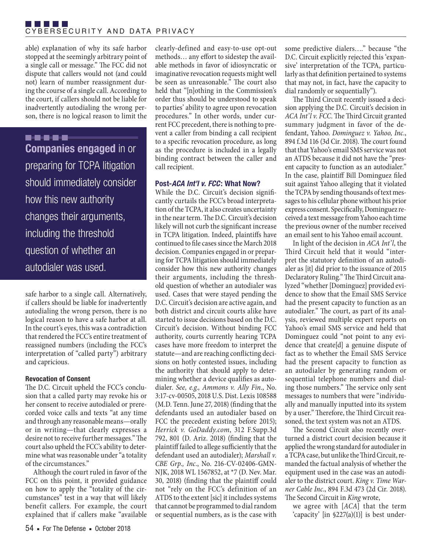able) explanation of why its safe harbor stopped at the seemingly arbitrary point of a single call or message." The FCC did not dispute that callers would not (and could not) learn of number reassignment during the course of a single call. According to the court, if callers should not be liable for inadvertently autodialing the wrong person, there is no logical reason to limit the

# .....

**Companies engaged** in or preparing for TCPA litigation should immediately consider how this new authority changes their arguments, including the threshold question of whether an autodialer was used.

safe harbor to a single call. Alternatively, if callers should be liable for inadvertently autodialing the wrong person, there is no logical reason to have a safe harbor at all. In the court's eyes, this was a contradiction that rendered the FCC's entire treatment of reassigned numbers (including the FCC's interpretation of "called party") arbitrary and capricious.

## **Revocation of Consent**

The D.C. Circuit upheld the FCC's conclusion that a called party may revoke his or her consent to receive autodialed or prerecorded voice calls and texts "at any time and through any reasonable means—orally or in writing—that clearly expresses a desire not to receive further messages." The court also upheld the FCC's ability to determine what was reasonable under "a totality of the circumstances."

Although the court ruled in favor of the FCC on this point, it provided guidance on how to apply the "totality of the circumstances" test in a way that will likely benefit callers. For example, the court explained that if callers make "available

54 ■ For The Defense ■ October 2018

clearly-defined and easy-to-use opt-out methods… any effort to sidestep the available methods in favor of idiosyncratic or imaginative revocation requests might well be seen as unreasonable." The court also held that "[n]othing in the Commission's order thus should be understood to speak to parties' ability to agree upon revocation procedures." In other words, under current FCC precedent, there is nothing to prevent a caller from binding a call recipient to a specific revocation procedure, as long as the procedure is included in a legally binding contract between the caller and call recipient.

# **Post-***ACA Int'l v. FCC***: What Now?**

While the D.C. Circuit's decision significantly curtails the FCC's broad interpretation of the TCPA, it also creates uncertainty in the near term. The D.C. Circuit's decision likely will not curb the significant increase in TCPA litigation. Indeed, plaintiffs have continued to file cases since the March 2018 decision. Companies engaged in or preparing for TCPA litigation should immediately consider how this new authority changes their arguments, including the threshold question of whether an autodialer was used. Cases that were stayed pending the D.C. Circuit's decision are active again, and both district and circuit courts alike have started to issue decisions based on the D.C. Circuit's decision. Without binding FCC authority, courts currently hearing TCPA cases have more freedom to interpret the statute—and are reaching conflicting decisions on hotly contested issues, including the authority that should apply to determining whether a device qualifies as autodialer. *See, e.g., Ammons v. Ally Fin*., No. 3:17-cv-00505, 2018 U.S. Dist. Lexis 108588 (M.D. Tenn. June 27, 2018) (finding that the defendants used an autodialer based on FCC the precedent existing before 2015); *Herrick v. GoDaddy.com*, 312 F.Supp.3d 792, 801 (D. Ariz. 2018) (finding that the plaintiff failed to allege sufficiently that the defendant used an autodialer); *Marshall v. CBE Grp., Inc.*, No. 216-CV-02406-GMN-NJK, 2018 WL 1567852, at \*7 (D. Nev. Mar. 30, 2018) (finding that the plaintiff could not "rely on the FCC's definition of an ATDS to the extent [sic] it includes systems that cannot be programmed to dial random or sequential numbers, as is the case with some predictive dialers…." because "the D.C. Circuit explicitly rejected this 'expansive' interpretation of the TCPA, particularly as that definition pertained to systems that may not, in fact, have the capacity to dial randomly or sequentially").

The Third Circuit recently issued a decision applying the D.C. Circuit's decision in *ACA Int'l v. FCC*. The Third Circuit granted summary judgment in favor of the defendant, Yahoo. *Dominguez v. Yahoo, Inc.*, 894 f.3d 116 (3d Cir. 2018). The court found that that Yahoo's email SMS service was not an ATDS because it did not have the "present capacity to function as an autodialer." In the case, plaintiff Bill Dominguez filed suit against Yahoo alleging that it violated the TCPA by sending thousands of text messages to his cellular phone without his prior express consent. Specifically, Dominguez received a text message from Yahoo each time the previous owner of the number received an email sent to his Yahoo email account.

In light of the decision in *ACA Int'l*, the Third Circuit held that it would "interpret the statutory definition of an autodialer as [it] did prior to the issuance of 2015 Declaratory Ruling." The Third Circuit analyzed "whether [Dominguez] provided evidence to show that the Email SMS Service had the present capacity to function as an autodialer." The court, as part of its analysis, reviewed multiple expert reports on Yahoo's email SMS service and held that Dominguez could "not point to any evidence that create[d] a genuine dispute of fact as to whether the Email SMS Service had the present capacity to function as an autodialer by generating random or sequential telephone numbers and dialing those numbers." The service only sent messages to numbers that were "individually and manually inputted into its system by a user." Therefore, the Third Circuit reasoned, the text system was not an ATDS.

The Second Circuit also recently overturned a district court decision because it applied the wrong standard for autodialer in a TCPA case, but unlike the Third Circuit, remanded the factual analysis of whether the equipment used in the case was an autodialer to the district court. *King v. Time Warner Cable Inc*., 894 F.3d 473 (2d Cir. 2018). The Second Circuit in *King* wrote,

we agree with [*ACA*] that the term 'capacity' [in §227(a)(1)] is best under